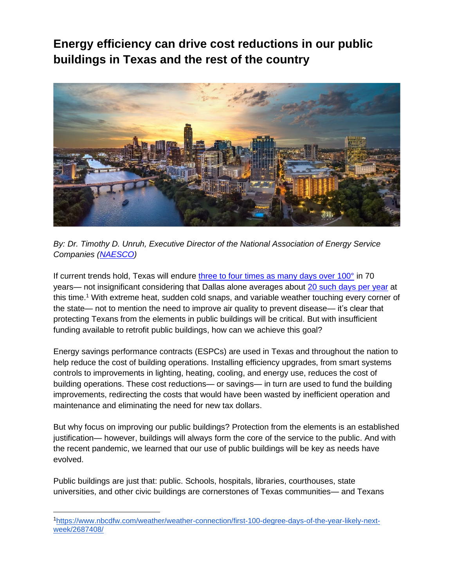**Energy efficiency can drive cost reductions in our public buildings in Texas and the rest of the country**



*By: Dr. Timothy D. Unruh, Executive Director of the National Association of Energy Service Companies [\(NAESCO\)](https://naesco.org/)* 

If current trends hold, Texas will endure [three to four times as many days over 100°](https://www.epa.gov/sites/default/files/2016-09/documents/climate-change-tx.pdf) in 70 years— not insignificant considering that Dallas alone averages about [20 such days per year](https://www.nbcdfw.com/weather/weather-connection/first-100-degree-days-of-the-year-likely-next-week/2687408/) at this time.<sup>1</sup> With extreme heat, sudden cold snaps, and variable weather touching every corner of the state— not to mention the need to improve air quality to prevent disease— it's clear that protecting Texans from the elements in public buildings will be critical. But with insufficient funding available to retrofit public buildings, how can we achieve this goal?

Energy savings performance contracts (ESPCs) are used in Texas and throughout the nation to help reduce the cost of building operations. Installing efficiency upgrades, from smart systems controls to improvements in lighting, heating, cooling, and energy use, reduces the cost of building operations. These cost reductions— or savings— in turn are used to fund the building improvements, redirecting the costs that would have been wasted by inefficient operation and maintenance and eliminating the need for new tax dollars.

But why focus on improving our public buildings? Protection from the elements is an established justification— however, buildings will always form the core of the service to the public. And with the recent pandemic, we learned that our use of public buildings will be key as needs have evolved.

Public buildings are just that: public. Schools, hospitals, libraries, courthouses, state universities, and other civic buildings are cornerstones of Texas communities— and Texans

<sup>1</sup>[https://www.nbcdfw.com/weather/weather-connection/first-100-degree-days-of-the-year-likely-next](https://www.nbcdfw.com/weather/weather-connection/first-100-degree-days-of-the-year-likely-next-week/2687408/)[week/2687408/](https://www.nbcdfw.com/weather/weather-connection/first-100-degree-days-of-the-year-likely-next-week/2687408/)